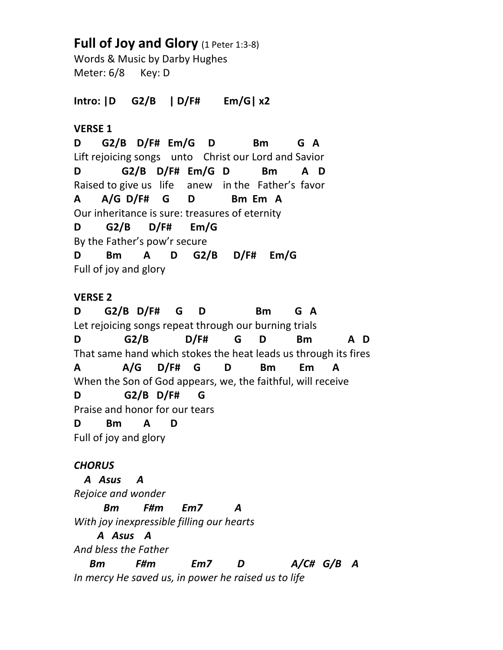# **Full of Joy and Glory** (1 Peter 1:3-8)

Words & Music by Darby Hughes Meter: 6/8 Key: D

**Intro: |D G2/B | D/F# Em/G| x2**

### **VERSE 1**

**D G2/B D/F# Em/G D Bm G A** Lift rejoicing songs unto Christ our Lord and Savior **D G2/B D/F# Em/G D Bm A D** Raised to give us life anew in the Father's favor **A A/G D/F# G D Bm Em A** Our inheritance is sure: treasures of eternity **D G2/B D/F# Em/G** By the Father's pow'r secure **D Bm A D G2/B D/F# Em/G** Full of joy and glory

### **VERSE 2**

**D G2/B D/F# G D Bm G A** Let rejoicing songs repeat through our burning trials **D G2/B D/F# G D Bm A D** That same hand which stokes the heat leads us through its fires **A A/G D/F# G D Bm Em A** When the Son of God appears, we, the faithful, will receive **D G2/B D/F# G** Praise and honor for our tears **D Bm A D** Full of joy and glory

# *CHORUS*

 *A Asus A Rejoice and wonder Bm F#m Em7 A With joy inexpressible filling our hearts A Asus A And bless the Father Bm F#m Em7 D A/C# G/B A In mercy He saved us, in power he raised us to life*